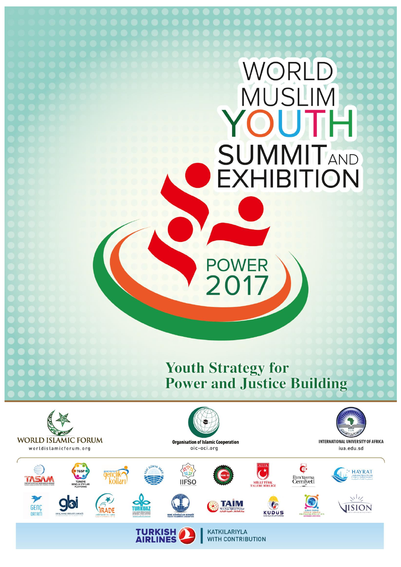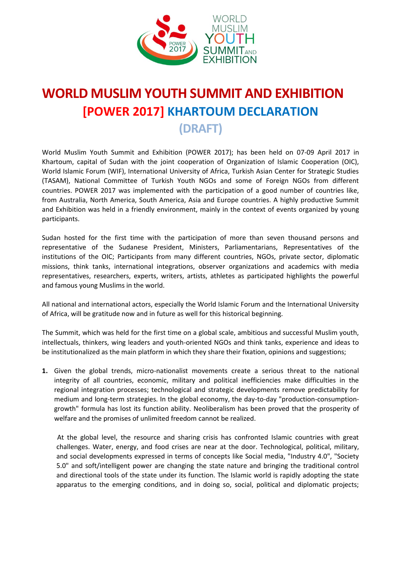

## **WORLD MUSLIM YOUTH SUMMIT AND EXHIBITION [POWER 2017] KHARTOUM DECLARATION**

**(DRAFT)**

World Muslim Youth Summit and Exhibition (POWER 2017); has been held on 07-09 April 2017 in Khartoum, capital of Sudan with the joint cooperation of Organization of Islamic Cooperation (OIC), World Islamic Forum (WIF), International University of Africa, Turkish Asian Center for Strategic Studies (TASAM), National Committee of Turkish Youth NGOs and some of Foreign NGOs from different countries. POWER 2017 was implemented with the participation of a good number of countries like, from Australia, North America, South America, Asia and Europe countries. A highly productive Summit and Exhibition was held in a friendly environment, mainly in the context of events organized by young participants.

Sudan hosted for the first time with the participation of more than seven thousand persons and representative of the Sudanese President, Ministers, Parliamentarians, Representatives of the institutions of the OIC; Participants from many different countries, NGOs, private sector, diplomatic missions, think tanks, international integrations, observer organizations and academics with media representatives, researchers, experts, writers, artists, athletes as participated highlights the powerful and famous young Muslims in the world.

All national and international actors, especially the World Islamic Forum and the International University of Africa, will be gratitude now and in future as well for this historical beginning.

The Summit, which was held for the first time on a global scale, ambitious and successful Muslim youth, intellectuals, thinkers, wing leaders and youth-oriented NGOs and think tanks, experience and ideas to be institutionalized as the main platform in which they share their fixation, opinions and suggestions;

**1.** Given the global trends, micro-nationalist movements create a serious threat to the national integrity of all countries, economic, military and political inefficiencies make difficulties in the regional integration processes; technological and strategic developments remove predictability for medium and long-term strategies. In the global economy, the day-to-day "production-consumptiongrowth" formula has lost its function ability. Neoliberalism has been proved that the prosperity of welfare and the promises of unlimited freedom cannot be realized.

 At the global level, the resource and sharing crisis has confronted Islamic countries with great challenges. Water, energy, and food crises are near at the door. Technological, political, military, and social developments expressed in terms of concepts like Social media, "Industry 4.0", "Society 5.0" and soft/intelligent power are changing the state nature and bringing the traditional control and directional tools of the state under its function. The Islamic world is rapidly adopting the state apparatus to the emerging conditions, and in doing so, social, political and diplomatic projects;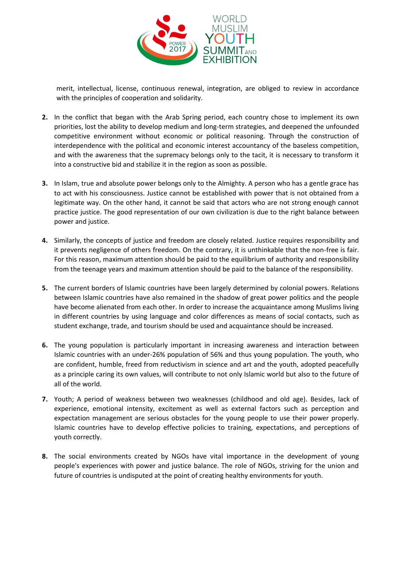

merit, intellectual, license, continuous renewal, integration, are obliged to review in accordance with the principles of cooperation and solidarity.

- **2.** In the conflict that began with the Arab Spring period, each country chose to implement its own priorities, lost the ability to develop medium and long-term strategies, and deepened the unfounded competitive environment without economic or political reasoning. Through the construction of interdependence with the political and economic interest accountancy of the baseless competition, and with the awareness that the supremacy belongs only to the tacit, it is necessary to transform it into a constructive bid and stabilize it in the region as soon as possible.
- **3.** In Islam, true and absolute power belongs only to the Almighty. A person who has a gentle grace has to act with his consciousness. Justice cannot be established with power that is not obtained from a legitimate way. On the other hand, it cannot be said that actors who are not strong enough cannot practice justice. The good representation of our own civilization is due to the right balance between power and justice.
- **4.** Similarly, the concepts of justice and freedom are closely related. Justice requires responsibility and it prevents negligence of others freedom. On the contrary, it is unthinkable that the non-free is fair. For this reason, maximum attention should be paid to the equilibrium of authority and responsibility from the teenage years and maximum attention should be paid to the balance of the responsibility.
- **5.** The current borders of Islamic countries have been largely determined by colonial powers. Relations between Islamic countries have also remained in the shadow of great power politics and the people have become alienated from each other. In order to increase the acquaintance among Muslims living in different countries by using language and color differences as means of social contacts, such as student exchange, trade, and tourism should be used and acquaintance should be increased.
- **6.** The young population is particularly important in increasing awareness and interaction between Islamic countries with an under-26% population of 56% and thus young population. The youth, who are confident, humble, freed from reductivism in science and art and the youth, adopted peacefully as a principle caring its own values, will contribute to not only Islamic world but also to the future of all of the world.
- **7.** Youth; A period of weakness between two weaknesses (childhood and old age). Besides, lack of experience, emotional intensity, excitement as well as external factors such as perception and expectation management are serious obstacles for the young people to use their power properly. Islamic countries have to develop effective policies to training, expectations, and perceptions of youth correctly.
- **8.** The social environments created by NGOs have vital importance in the development of young people's experiences with power and justice balance. The role of NGOs, striving for the union and future of countries is undisputed at the point of creating healthy environments for youth.